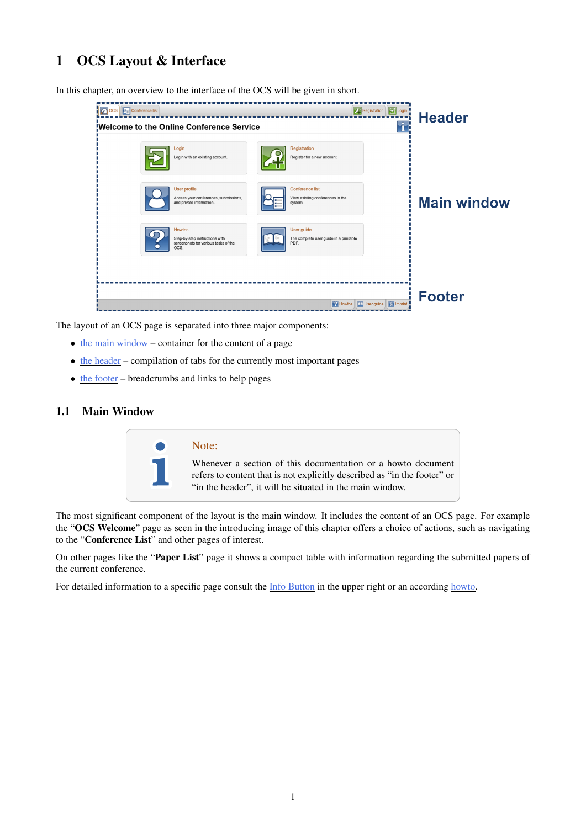## <span id="page-0-0"></span>1 OCS Layout & Interface

In this chapter, an overview to the interface of the OCS will be given in short.

| OCS Cerrence list<br>Welcome to the Online Conference Service                            | Registration D Login<br>$\overline{\mathbf{1}}$                       | <b>Header</b>      |
|------------------------------------------------------------------------------------------|-----------------------------------------------------------------------|--------------------|
| Login<br>Login with an existing account.                                                 | Registration<br>Register for a new account.                           |                    |
| User profile<br>Access your conferences, submissions,<br>and private information.        | <b>Conference list</b><br>View existing conferences in the<br>system. | <b>Main window</b> |
| Howtos<br>Step-by-step instructions with<br>screenshots for various tasks of the<br>OCS. | User guide<br>The complete user guide in a printable<br>PDF.          |                    |
|                                                                                          |                                                                       |                    |
|                                                                                          | 2 Howtos   Li User guide   S Imprint                                  | <b>Footer</b>      |

The layout of an OCS page is separated into three major components:

- $\bullet$  the main window container for the content of a page
- the header compilation of tabs for the currently most important pages
- the footer breadcrumbs and links to help pages

## 1.1 Main Window



The most significant component of the layout is the main window. It includes the content of an OCS page. For example the "OCS Welcome" page as seen in the introducing image of this chapter offers a choice of actions, such as navigating to the "Conference List" and other pages of interest.

On other pages like the "Paper List" page it shows a compact table with information regarding the submitted papers of the current conference.

For detailed information to a specific page consult the Info Button in the upper right or an according howto.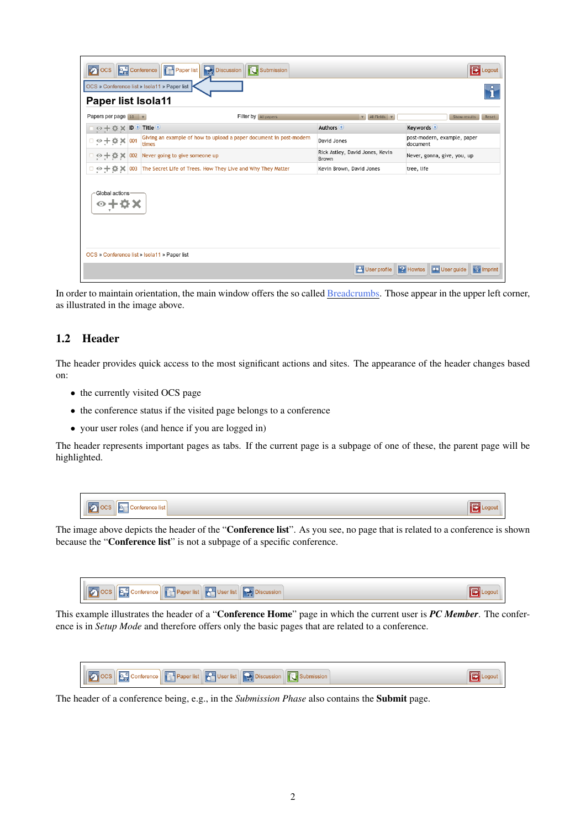| <b>Paper list Isola11</b><br>Papers per page $\boxed{10}$ $\boxed{v}$ | Filter by All papers                                                        | $\nabla$ All Fields $\nabla$             | Show results<br>Reset                   |
|-----------------------------------------------------------------------|-----------------------------------------------------------------------------|------------------------------------------|-----------------------------------------|
| □⊙ + ⇔ × ID ◎ Title ◎                                                 |                                                                             | Authors <sup>of</sup>                    | Keywords <sup>o</sup>                   |
| $\Box \circ + \circ \times 0$ 001                                     | Giving an example of how to upload a paper document in post-modern<br>times | David Jones                              | post-modern, example, paper<br>document |
|                                                                       | □ ⊙ + $\bigcirc$ × 002 Never going to give someone up                       | Rick Astley, David Jones, Kevin<br>Brown | Never, gonna, give, you, up             |
|                                                                       | □ ∞ 十 券 × 003 The Secret Life of Trees. How They Live and Why They Matter   | Kevin Brown, David Jones                 | tree, life                              |
|                                                                       |                                                                             |                                          |                                         |

In order to maintain orientation, the main window offers the so called **Breadcrumbs**. Those appear in the upper left corner, as illustrated in the image above.

## 1.2 Header

The header provides quick access to the most significant actions and sites. The appearance of the header changes based on:

- the currently visited OCS page
- the conference status if the visited page belongs to a conference
- your user roles (and hence if you are logged in)

The header represents important pages as tabs. If the current page is a subpage of one of these, the parent page will be highlighted.



The image above depicts the header of the "Conference list". As you see, no page that is related to a conference is shown because the "Conference list" is not a subpage of a specific conference.

This example illustrates the header of a "Conference Home" page in which the current user is *PC Member*. The conference is in *Setup Mode* and therefore offers only the basic pages that are related to a conference.

| <u>(0)</u> |  |
|------------|--|
|------------|--|

The header of a conference being, e.g., in the *Submission Phase* also contains the Submit page.